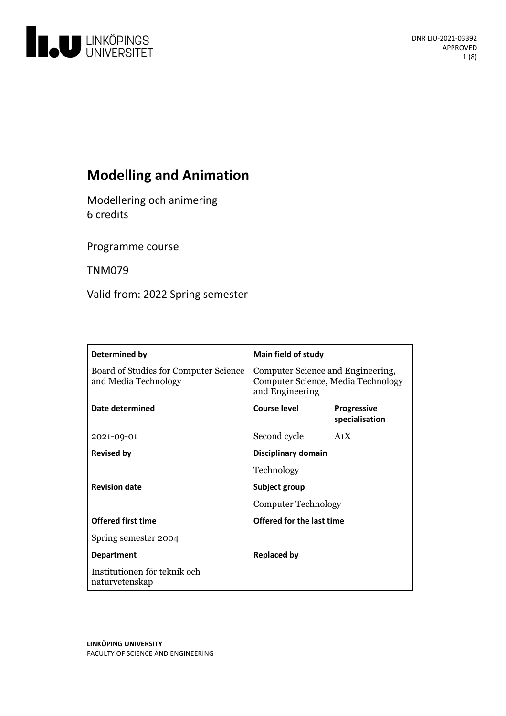

# **Modelling and Animation**

Modellering och animering 6 credits

Programme course

TNM079

Valid from: 2022 Spring semester

| Determined by                                                 | <b>Main field of study</b>                                                                 |                                      |
|---------------------------------------------------------------|--------------------------------------------------------------------------------------------|--------------------------------------|
| Board of Studies for Computer Science<br>and Media Technology | Computer Science and Engineering,<br>Computer Science, Media Technology<br>and Engineering |                                      |
| Date determined                                               | <b>Course level</b>                                                                        | <b>Progressive</b><br>specialisation |
| 2021-09-01                                                    | Second cycle                                                                               | A <sub>1</sub> X                     |
| <b>Revised by</b>                                             | Disciplinary domain                                                                        |                                      |
|                                                               | Technology<br>Subject group<br><b>Computer Technology</b>                                  |                                      |
| <b>Revision date</b>                                          |                                                                                            |                                      |
|                                                               |                                                                                            |                                      |
| <b>Offered first time</b>                                     | Offered for the last time                                                                  |                                      |
| Spring semester 2004                                          |                                                                                            |                                      |
| <b>Department</b>                                             | <b>Replaced by</b>                                                                         |                                      |
| Institutionen för teknik och<br>naturvetenskap                |                                                                                            |                                      |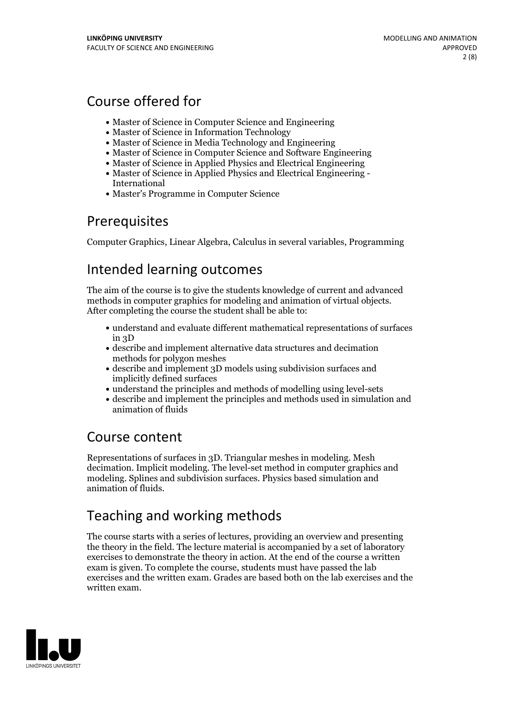# Course offered for

- Master of Science in Computer Science and Engineering
- Master of Science in Information Technology
- Master of Science in Media Technology and Engineering
- Master of Science in Computer Science and Software Engineering
- Master of Science in Applied Physics and Electrical Engineering
- Master of Science in Applied Physics and Electrical Engineering International
- Master's Programme in Computer Science

## **Prerequisites**

Computer Graphics, Linear Algebra, Calculus in several variables, Programming

## Intended learning outcomes

The aim of the course is to give the students knowledge of current and advanced methods in computer graphics for modeling and animation of virtual objects. After completing the course the student shall be able to:

- understand and evaluate different mathematical representations of surfaces in 3D
- describe and implement alternative data structures and decimation methods for polygon meshes
- describe and implement 3D models using subdivision surfaces and implicitly defined surfaces
- understand the principles and methods of modelling using level-sets
- describe and implement the principles and methods used in simulation and animation of fluids

# Course content

Representations of surfaces in 3D. Triangular meshes in modeling. Mesh decimation. Implicit modeling. The level-set method in computer graphics and modeling. Splines and subdivision surfaces. Physics based simulation and animation of fluids.

# Teaching and working methods

The course starts with a series of lectures, providing an overview and presenting the theory in the field. The lecture material is accompanied by a set of laboratory exercises to demonstrate the theory in action. At the end of the course a written exam is given. To complete the course, students must have passed the lab exercises and the written exam. Grades are based both on the lab exercises and the written exam.

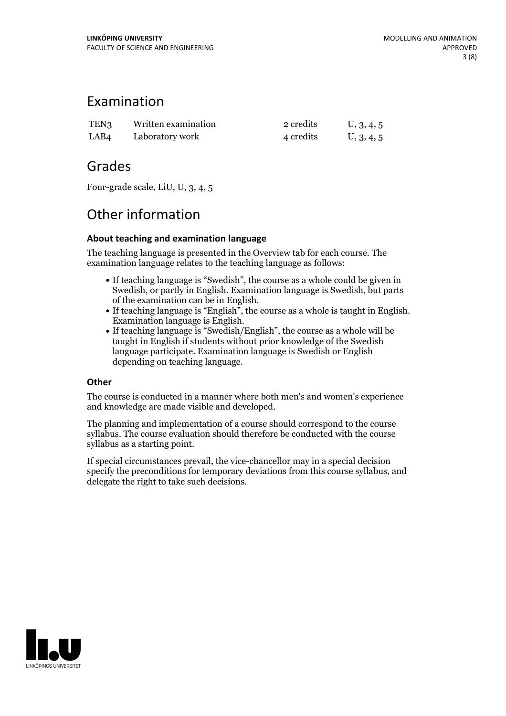## Examination

| TEN <sub>3</sub> | Written examination | 2 credits | U, 3, 4, 5 |
|------------------|---------------------|-----------|------------|
| LAB <sub>4</sub> | Laboratory work     | 4 credits | U, 3, 4, 5 |

## Grades

Four-grade scale, LiU, U, 3, 4, 5

## Other information

### **About teaching and examination language**

The teaching language is presented in the Overview tab for each course. The examination language relates to the teaching language as follows:

- If teaching language is "Swedish", the course as a whole could be given in Swedish, or partly in English. Examination language is Swedish, but parts
- of the examination can be in English. If teaching language is "English", the course as <sup>a</sup> whole is taught in English. Examination language is English. If teaching language is "Swedish/English", the course as <sup>a</sup> whole will be
- taught in English if students without prior knowledge of the Swedish language participate. Examination language is Swedish or English depending on teaching language.

### **Other**

The course is conducted in a manner where both men's and women's experience and knowledge are made visible and developed.

The planning and implementation of a course should correspond to the course syllabus. The course evaluation should therefore be conducted with the course syllabus as a starting point.

If special circumstances prevail, the vice-chancellor may in a special decision specify the preconditions for temporary deviations from this course syllabus, and delegate the right to take such decisions.

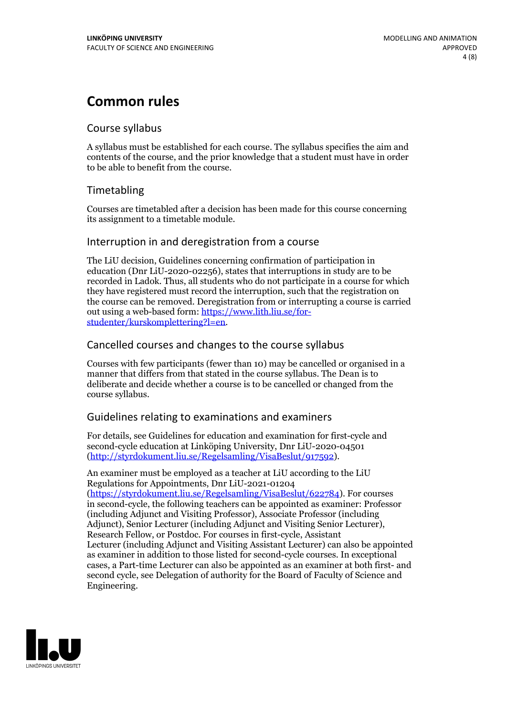## **Common rules**

### Course syllabus

A syllabus must be established for each course. The syllabus specifies the aim and contents of the course, and the prior knowledge that a student must have in order to be able to benefit from the course.

## Timetabling

Courses are timetabled after a decision has been made for this course concerning its assignment to a timetable module.

### Interruption in and deregistration from a course

The LiU decision, Guidelines concerning confirmation of participation in education (Dnr LiU-2020-02256), states that interruptions in study are to be recorded in Ladok. Thus, all students who do not participate in a course for which they have registered must record the interruption, such that the registration on the course can be removed. Deregistration from or interrupting a course is carried out using <sup>a</sup> web-based form: https://www.lith.liu.se/for- [studenter/kurskomplettering?l=en.](https://www.lith.liu.se/for-studenter/kurskomplettering?l=en)

## Cancelled courses and changes to the course syllabus

Courses with few participants (fewer than 10) may be cancelled or organised in a manner that differs from that stated in the course syllabus. The Dean is to deliberate and decide whether a course is to be cancelled or changed from the course syllabus.

## Guidelines relating to examinations and examiners

For details, see Guidelines for education and examination for first-cycle and second-cycle education at Linköping University, Dnr LiU-2020-04501 [\(http://styrdokument.liu.se/Regelsamling/VisaBeslut/917592\)](http://styrdokument.liu.se/Regelsamling/VisaBeslut/917592).

An examiner must be employed as a teacher at LiU according to the LiU Regulations for Appointments, Dnr LiU-2021-01204 [\(https://styrdokument.liu.se/Regelsamling/VisaBeslut/622784](https://styrdokument.liu.se/Regelsamling/VisaBeslut/622784)). For courses in second-cycle, the following teachers can be appointed as examiner: Professor (including Adjunct and Visiting Professor), Associate Professor (including Adjunct), Senior Lecturer (including Adjunct and Visiting Senior Lecturer), Research Fellow, or Postdoc. For courses in first-cycle, Assistant Lecturer (including Adjunct and Visiting Assistant Lecturer) can also be appointed as examiner in addition to those listed for second-cycle courses. In exceptional cases, a Part-time Lecturer can also be appointed as an examiner at both first- and second cycle, see Delegation of authority for the Board of Faculty of Science and Engineering.

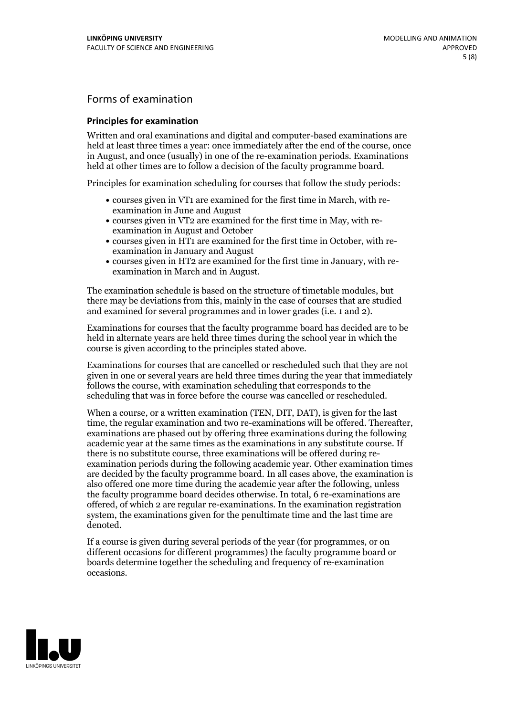## Forms of examination

#### **Principles for examination**

Written and oral examinations and digital and computer-based examinations are held at least three times a year: once immediately after the end of the course, once in August, and once (usually) in one of the re-examination periods. Examinations held at other times are to follow a decision of the faculty programme board.

Principles for examination scheduling for courses that follow the study periods:

- courses given in VT1 are examined for the first time in March, with re-examination in June and August
- courses given in VT2 are examined for the first time in May, with re-examination in August and October
- courses given in HT1 are examined for the first time in October, with re-examination in January and August
- courses given in HT2 are examined for the first time in January, with re-examination in March and in August.

The examination schedule is based on the structure of timetable modules, but there may be deviations from this, mainly in the case of courses that are studied and examined for several programmes and in lower grades (i.e. 1 and 2).

Examinations for courses that the faculty programme board has decided are to be held in alternate years are held three times during the school year in which the course is given according to the principles stated above.

Examinations for courses that are cancelled orrescheduled such that they are not given in one or several years are held three times during the year that immediately follows the course, with examination scheduling that corresponds to the scheduling that was in force before the course was cancelled or rescheduled.

When a course, or a written examination (TEN, DIT, DAT), is given for the last time, the regular examination and two re-examinations will be offered. Thereafter, examinations are phased out by offering three examinations during the following academic year at the same times as the examinations in any substitute course. If there is no substitute course, three examinations will be offered during re- examination periods during the following academic year. Other examination times are decided by the faculty programme board. In all cases above, the examination is also offered one more time during the academic year after the following, unless the faculty programme board decides otherwise. In total, 6 re-examinations are offered, of which 2 are regular re-examinations. In the examination registration system, the examinations given for the penultimate time and the last time are denoted.

If a course is given during several periods of the year (for programmes, or on different occasions for different programmes) the faculty programme board or boards determine together the scheduling and frequency of re-examination occasions.

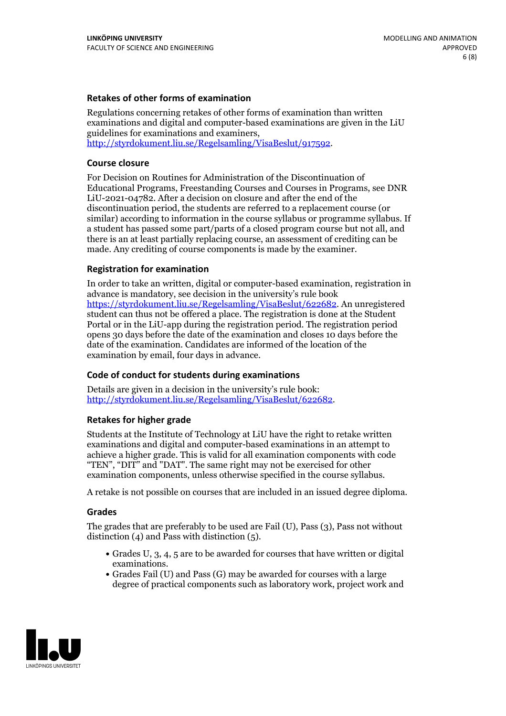### **Retakes of other forms of examination**

Regulations concerning retakes of other forms of examination than written examinations and digital and computer-based examinations are given in the LiU guidelines for examinations and examiners, [http://styrdokument.liu.se/Regelsamling/VisaBeslut/917592.](http://styrdokument.liu.se/Regelsamling/VisaBeslut/917592)

#### **Course closure**

For Decision on Routines for Administration of the Discontinuation of Educational Programs, Freestanding Courses and Courses in Programs, see DNR LiU-2021-04782. After a decision on closure and after the end of the discontinuation period, the students are referred to a replacement course (or similar) according to information in the course syllabus or programme syllabus. If a student has passed some part/parts of a closed program course but not all, and there is an at least partially replacing course, an assessment of crediting can be made. Any crediting of course components is made by the examiner.

#### **Registration for examination**

In order to take an written, digital or computer-based examination, registration in advance is mandatory, see decision in the university's rule book [https://styrdokument.liu.se/Regelsamling/VisaBeslut/622682.](https://styrdokument.liu.se/Regelsamling/VisaBeslut/622682) An unregistered student can thus not be offered a place. The registration is done at the Student Portal or in the LiU-app during the registration period. The registration period opens 30 days before the date of the examination and closes 10 days before the date of the examination. Candidates are informed of the location of the examination by email, four days in advance.

#### **Code of conduct for students during examinations**

Details are given in a decision in the university's rule book: <http://styrdokument.liu.se/Regelsamling/VisaBeslut/622682>.

#### **Retakes for higher grade**

Students at the Institute of Technology at LiU have the right to retake written examinations and digital and computer-based examinations in an attempt to achieve a higher grade. This is valid for all examination components with code "TEN", "DIT" and "DAT". The same right may not be exercised for other examination components, unless otherwise specified in the course syllabus.

A retake is not possible on courses that are included in an issued degree diploma.

#### **Grades**

The grades that are preferably to be used are Fail (U), Pass (3), Pass not without distinction  $(4)$  and Pass with distinction  $(5)$ .

- Grades U, 3, 4, 5 are to be awarded for courses that have written or digital examinations.<br>• Grades Fail (U) and Pass (G) may be awarded for courses with a large
- degree of practical components such as laboratory work, project work and

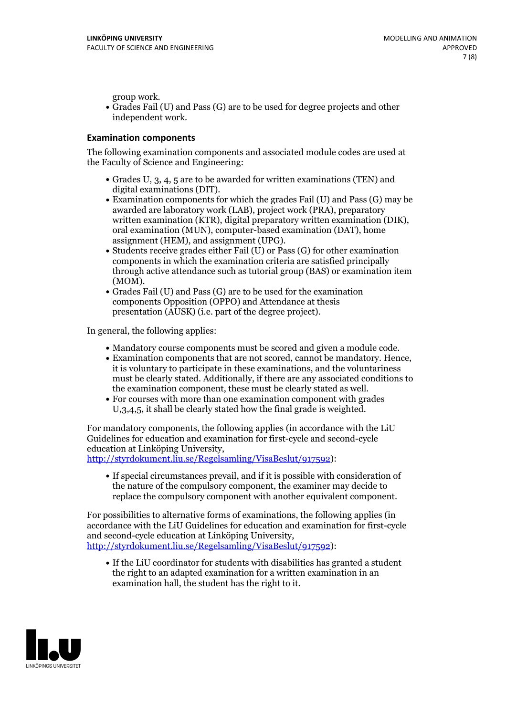group work.<br>• Grades Fail (U) and Pass (G) are to be used for degree projects and other independent work.

#### **Examination components**

The following examination components and associated module codes are used at the Faculty of Science and Engineering:

- Grades U, 3, 4, 5 are to be awarded for written examinations (TEN) and
- digital examinations (DIT).<br>• Examination components for which the grades Fail (U) and Pass (G) may be awarded are laboratory work (LAB), project work (PRA), preparatory written examination (KTR), digital preparatory written examination (DIK), oral examination (MUN), computer-based examination (DAT), home
- assignment (HEM), and assignment (UPG).<br>• Students receive grades either Fail (U) or Pass (G) for other examination components in which the examination criteria are satisfied principally through active attendance such as tutorial group (BAS) or examination item (MOM).<br>• Grades Fail (U) and Pass (G) are to be used for the examination
- components Opposition (OPPO) and Attendance at thesis presentation (AUSK) (i.e. part of the degree project).

In general, the following applies:

- 
- Mandatory course components must be scored and given <sup>a</sup> module code. Examination components that are not scored, cannot be mandatory. Hence, it is voluntary to participate in these examinations, and the voluntariness must be clearly stated. Additionally, if there are any associated conditions to
- the examination component, these must be clearly stated as well.<br>• For courses with more than one examination component with grades U,3,4,5, it shall be clearly stated how the final grade is weighted.

For mandatory components, the following applies (in accordance with the LiU Guidelines for education and examination for first-cycle and second-cycle education at Linköping University,<br>[http://styrdokument.liu.se/Regelsamling/VisaBeslut/917592\)](http://styrdokument.liu.se/Regelsamling/VisaBeslut/917592):

If special circumstances prevail, and if it is possible with consideration of the nature of the compulsory component, the examiner may decide to replace the compulsory component with another equivalent component.

For possibilities to alternative forms of examinations, the following applies (in accordance with the LiU Guidelines for education and examination for first-cycle [http://styrdokument.liu.se/Regelsamling/VisaBeslut/917592\)](http://styrdokument.liu.se/Regelsamling/VisaBeslut/917592):

If the LiU coordinator for students with disabilities has granted a student the right to an adapted examination for a written examination in an examination hall, the student has the right to it.